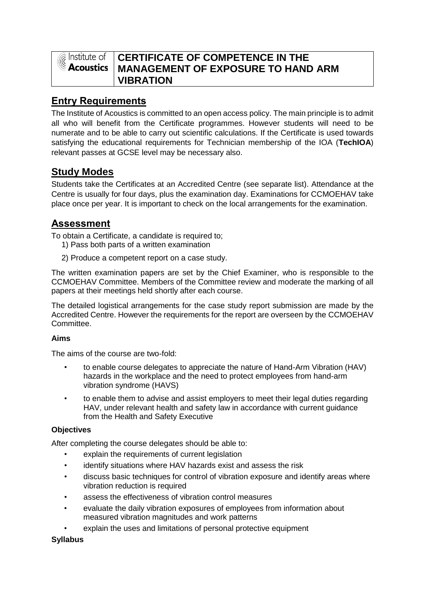

# **CERTIFICATE OF COMPETENCE IN THE MANAGEMENT OF EXPOSURE TO HAND ARM VIBRATION**

# **Entry Requirements**

The Institute of Acoustics is committed to an open access policy. The main principle is to admit all who will benefit from the Certificate programmes. However students will need to be numerate and to be able to carry out scientific calculations. If the Certificate is used towards satisfying the educational requirements for Technician membership of the IOA (**TechIOA**) relevant passes at GCSE level may be necessary also.

# **Study Modes**

Students take the Certificates at an Accredited Centre (see separate list). Attendance at the Centre is usually for four days, plus the examination day. Examinations for CCMOEHAV take place once per year. It is important to check on the local arrangements for the examination.

# **Assessment**

To obtain a Certificate, a candidate is required to;

- 1) Pass both parts of a written examination
- 2) Produce a competent report on a case study.

The written examination papers are set by the Chief Examiner, who is responsible to the CCMOEHAV Committee. Members of the Committee review and moderate the marking of all papers at their meetings held shortly after each course.

The detailed logistical arrangements for the case study report submission are made by the Accredited Centre. However the requirements for the report are overseen by the CCMOEHAV Committee.

## **Aims**

The aims of the course are two-fold:

- to enable course delegates to appreciate the nature of Hand-Arm Vibration (HAV) hazards in the workplace and the need to protect employees from hand-arm vibration syndrome (HAVS)
- to enable them to advise and assist employers to meet their legal duties regarding HAV, under relevant health and safety law in accordance with current guidance from the Health and Safety Executive

## **Objectives**

After completing the course delegates should be able to:

- explain the requirements of current legislation
- identify situations where HAV hazards exist and assess the risk
- discuss basic techniques for control of vibration exposure and identify areas where vibration reduction is required
- assess the effectiveness of vibration control measures
- evaluate the daily vibration exposures of employees from information about measured vibration magnitudes and work patterns
- explain the uses and limitations of personal protective equipment

## **Syllabus**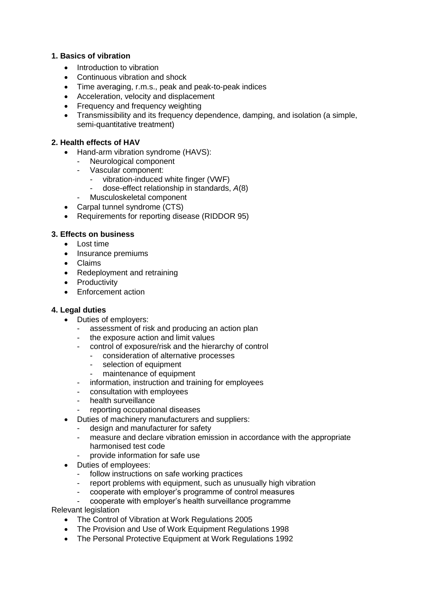#### **1. Basics of vibration**

- Introduction to vibration
- Continuous vibration and shock
- Time averaging, r.m.s., peak and peak-to-peak indices
- Acceleration, velocity and displacement
- Frequency and frequency weighting
- Transmissibility and its frequency dependence, damping, and isolation (a simple, semi-quantitative treatment)

#### **2. Health effects of HAV**

- Hand-arm vibration syndrome (HAVS):
	- Neurological component
	- Vascular component:
		- vibration-induced white finger (VWF)
		- dose-effect relationship in standards, *A*(8)
		- Musculoskeletal component
- Carpal tunnel syndrome (CTS)
- Requirements for reporting disease (RIDDOR 95)

### **3. Effects on business**

- Lost time
- Insurance premiums
- Claims
- Redeployment and retraining
- Productivity
- Enforcement action

#### **4. Legal duties**

- Duties of employers:
	- assessment of risk and producing an action plan
	- the exposure action and limit values
	- control of exposure/risk and the hierarchy of control
		- consideration of alternative processes
		- selection of equipment
		- maintenance of equipment
	- information, instruction and training for employees
	- consultation with employees
	- health surveillance
	- reporting occupational diseases
- Duties of machinery manufacturers and suppliers:
	- design and manufacturer for safety
	- measure and declare vibration emission in accordance with the appropriate harmonised test code
	- provide information for safe use
- Duties of employees:
	- follow instructions on safe working practices
	- report problems with equipment, such as unusually high vibration
	- cooperate with employer's programme of control measures
	- cooperate with employer's health surveillance programme

Relevant legislation

- The Control of Vibration at Work Regulations 2005
- The Provision and Use of Work Equipment Regulations 1998
- The Personal Protective Equipment at Work Regulations 1992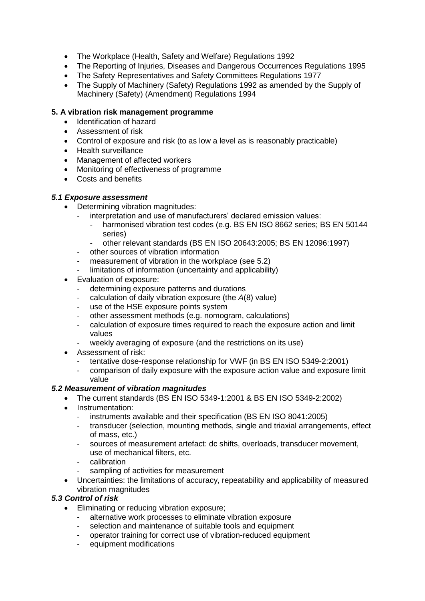- The Workplace (Health, Safety and Welfare) Regulations 1992
- The Reporting of Injuries, Diseases and Dangerous Occurrences Regulations 1995
- The Safety Representatives and Safety Committees Regulations 1977
- The Supply of Machinery (Safety) Regulations 1992 as amended by the Supply of Machinery (Safety) (Amendment) Regulations 1994

#### **5. A vibration risk management programme**

- Identification of hazard
- Assessment of risk
- Control of exposure and risk (to as low a level as is reasonably practicable)
- Health surveillance
- Management of affected workers
- Monitoring of effectiveness of programme
- Costs and benefits

### *5.1 Exposure assessment*

- Determining vibration magnitudes:
	- interpretation and use of manufacturers' declared emission values:
		- harmonised vibration test codes (e.g. BS EN ISO 8662 series; BS EN 50144 series)
		- other relevant standards (BS EN ISO 20643:2005; BS EN 12096:1997)
	- other sources of vibration information
	- measurement of vibration in the workplace (see 5.2)
	- limitations of information (uncertainty and applicability)
- Evaluation of exposure:
	- determining exposure patterns and durations
	- calculation of daily vibration exposure (the *A*(8) value)
	- use of the HSE exposure points system
	- other assessment methods (e.g. nomogram, calculations)
	- calculation of exposure times required to reach the exposure action and limit values
	- weekly averaging of exposure (and the restrictions on its use)
- Assessment of risk:
	- tentative dose-response relationship for VWF (in BS EN ISO 5349-2:2001)
	- comparison of daily exposure with the exposure action value and exposure limit value

#### *5.2 Measurement of vibration magnitudes*

- The current standards (BS EN ISO 5349-1:2001 & BS EN ISO 5349-2:2002)
- Instrumentation:
	- instruments available and their specification (BS EN ISO 8041:2005)
	- transducer (selection, mounting methods, single and triaxial arrangements, effect of mass, etc.)
	- sources of measurement artefact: dc shifts, overloads, transducer movement, use of mechanical filters, etc.
	- calibration
	- sampling of activities for measurement
- Uncertainties: the limitations of accuracy, repeatability and applicability of measured vibration magnitudes

#### *5.3 Control of risk*

- **Eliminating or reducing vibration exposure:** 
	- alternative work processes to eliminate vibration exposure
	- selection and maintenance of suitable tools and equipment
	- operator training for correct use of vibration-reduced equipment
	- equipment modifications